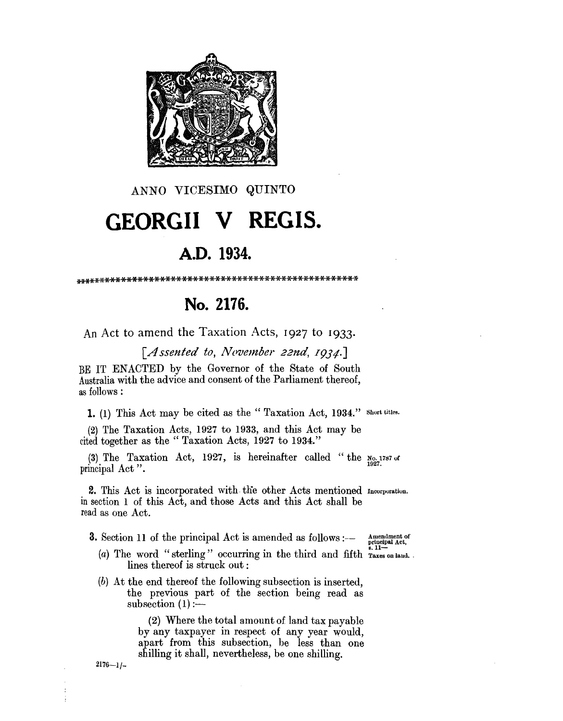

ANNO VICESIMO QUINTO

## GEORGII V REGIS.

## A.D. 1934.

## No. 2176.

An Act to amend the Taxation Acts, 1927 to 1933.

[Assented to, November 22nd, 1934.]

BE IT ENACTED by the Governor of the State of South Australia with the advice and consent of the Parliament thereof, as follows:

1. (1) This Act may be cited as the "Taxation Act, 1934." short titles.

(2) The Taxation Acts, 1927 to 1933, and this Act may be cited together as the "Taxation Acts, 1927 to 1934."

(3) The Taxation Act, 1927, is hereinafter called "the  $N_{0.1787}$  or principal Act".

2. This Act is incorporated with the other Acts mentioned Incorporation. in section 1 of this Act, and those Acts and this Act shall be read as one Act.

**3.** Section 11 of the principal Act is amended as follows :--

Amendment of principal Act,<br>8. 11-

- (a) The word "sterling" occurring in the third and fifth raxes on land. lines thereof is struck out:
- (b) At the end thereof the following subsection is inserted, the previous part of the section being read as subsection  $(1)$ :

(2) Where the total amount of land tax payable by any taxpayer in respect of any year would, apart from this subsection, be less than one shilling it shall, nevertheless, be one shilling.

 $2176 - 1/$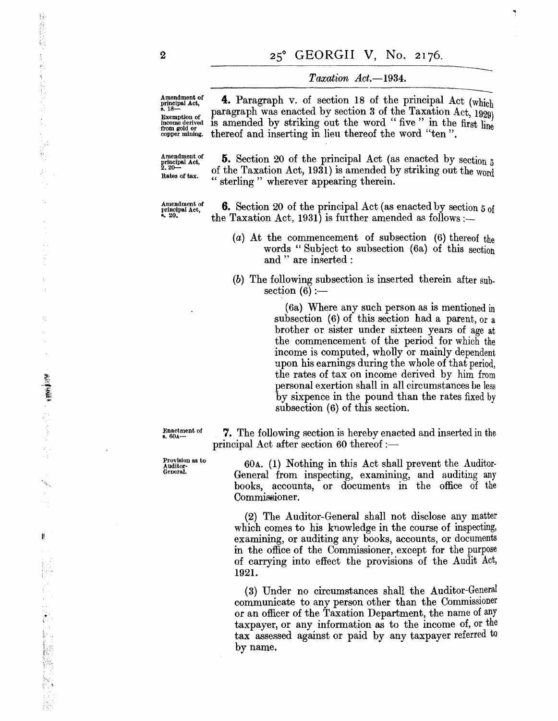# 25° GEORGII V, No. 2176.<br> *Taxation Act.*-1934.

..,

Amendment of principal Act,<br>s.  $18-$ Exemption of income derived from gold or copper mining.

**4. Paragraph v. of section 18 of the principal Act (which)**<br> **4. Paragraph v. of section 18 of the principal Act (which)**<br> **4. Paragraph was enacted by section 3 of the Taxation Act 1000)** paragraph was enacted by section 3 of the Taxation Act,  $1920$ is amended by striking out the word "five" in the first line thereof and inserting in lieu thereof the word "ten".

Amendment of principal Act, 2.20- Rates of tax.

**5.** Section 20 of the principal Act (as enacted by section 5 of the Taxation Act, 1931) is amended by striking out the word sterling" wherever appearing therein.

Amendment of<br>principal Act,<br>a. 20.

**6.** Section 20 of the principal Act (as enacted by section 5 of the Taxation Act, 1931) is further amended as follows:-

- (a) At the commencement of subsection (6) thereof the words" Subject to subsection (6a) of this section and " are inserted :
- (b) The following subsection is inserted therein after sub. section  $(6)$  :-

(6a) Where any such person as is mentioned in subsection (6) of this section had a parent, or a brother or sister under sixteen years of age at the commencement of the period for which the income is computed, wholly or mainly dependent upon his earnings during the whole of that period, the rates of tax on income derived by him from personal exertion shall in all circumstances be less by sixpence in the pound than the rates fixed by subsection (6) of this section.

Enactment of  $8.60$ A-

Provision as to Auditor-<br>General.

principal Act after section 60 thereof :— 60A. (1) Nothing in this Act shall prevent the Auditor·

7. The following section is hereby enacted and inserted in the

General from inspecting, examining, and auditing any books, accounts, or documents in the office of the Commissioner.

(2) The Auditor-General shall not disclose any matter which comes to his knowledge in the course of inspecting, examining, or auditing any books, accounts, or documents in the office of the Commissioner, except for the purpose of carrying into effect the provisions of the Audit Act, 1921.

(3) Under no circumstances shall the Auditor-General communicate to any person other than the Commissioner or an officer of the Taxation Department, the name of any taxpayer, or any information as to the income of, or the tax assessed against or paid by any taxpayer referred to by name.

2

摇

2. 大学生 2. 12

ŧ.

**MARK** 

þ,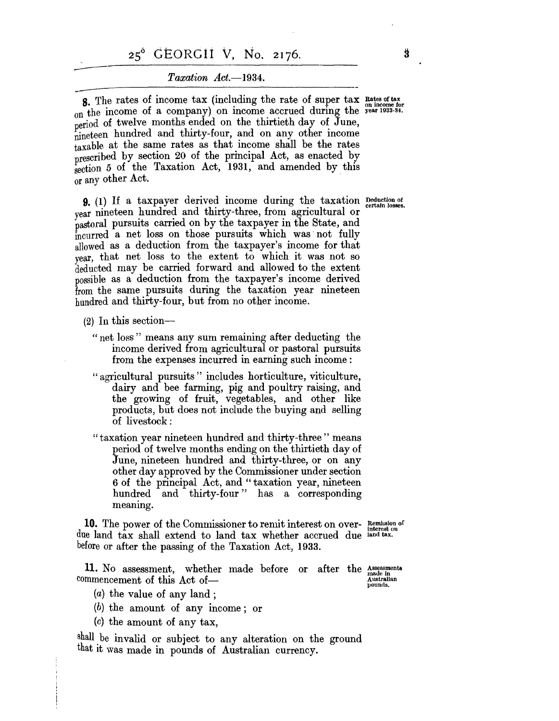## 25<sup>°</sup> GEORGII V, No. 2176.<br>Taxation Act.-1934.

 $Taxation Act. -1934.$ <br>
8. The rates of income tax (including the rate of super tax Rates of tax on the income of a company) on income accrued during the year 1933-34. period of twelve months ended on the thirtieth day of June, nineteen hundred and thirty-four, and on any other income taxable at the same rates as that income shall be the rates prescribed by section 20 of the principal Act, as enacted by  $\frac{1}{\sqrt{2}}$  section 5 of the Taxation Act, 1931, and amended by this or any other Act.

**9.** (1) If a taxpayer derived income during the taxation Deduction of year nineteen hundred and thirty-three, from agricultural or pastoral pursuits carried on by the taxpayer in the State, and incurred a net loss on those pursuits which was not fully allowed as a deduction from the taxpayer's income for that year, that net loss to the extent to which it was not so deducted may be carried forward and allowed to the extent possible as a deduction from the taxpayer's income derived from the same pursuits during the taxation year nineteen hundred and thirty-four, but from no other income.

- $(2)$  In this section-
	- " net loss" means any sum remaining after deducting the income derived from agricultural or pastoral pursuits from the expenses incurred in earning such income:
	- "agricultural pursuits" includes horticulture, viticulture, dairy and bee farming, pig and poultry raising, and the growing of fruit, vegetables, and other like products, but does not include the buying and selling of livestock:
	- "taxation year nineteen hundred and thirty-three" means period of twelve months ending on the thirtieth day of June, nineteen hundred and thirty-three, or on any other day approved by the Commissioner under section 6 of the principal Act, and" taxation year, nineteen hundred and thirty-four" has a corresponding meaning.

**10.** The power of the Commissioner to remit interest on over- Remission of due land tax shall extend to land tax whether accrued due land tax. before or after the passing of the Taxation Act, 1933.

**11.** No assessment, whether commencement of this Act ofmade before or after the Assessments<br>Australian

pounds.

- (a) the value of any land;
- (b) the amount of any income; or
- (c) the amount of any tax,

shall.be invalid or subject to any alteration on the ground that it was made in pounds of Australian currency.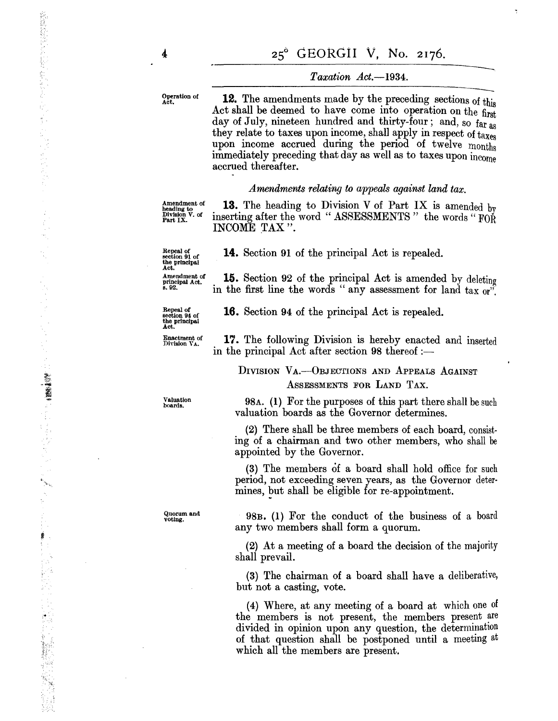4

Operation of **12.** The amendments made by the preceding sections of this Act shall be deemed to have come into operation on the first day of July, nineteen hundred and thirty-four; and, so far as they relate to taxes upon income, shall apply in respect of taxes upon income accrued during the period of twelve months immediately preceding that day as well as to taxes upon income accrued thereafter.

### *Amendments relating to appeals against land tax.*

Amendment of heading to Division V. of Part IX.

Repeal of section 91 of the principal Act.

13. The heading to Division V of Part IX is amended by inserting after the word "ASSESSMENTS" the words "FOR INCOME TAX".

**14.** Section **91** of the principal Act is repealed.

Amendment of principal Act. s.92. **15.** Section 92 of the principal Act is amended by deleting in the first line the words " any assessment for land tax  $\omega^{\mathfrak{p}}$ 

**16.** Section 94 of the principal Act is repealed.

in the principal Act after section  $98$  thereof :-

Repeal of section 94 of the principal Act.

Enactment of Division VA.

**17.** The following Division is hereby enacted and inserted

DIVISION VA.-- OBJECTIONS AND APPEALS AGAINST ASSESSMENTS FOR LAND TAX.

Valuation boards.

Quorum and<br>voting.

*98A.* (I) For the purposes of this part there shall be such valuation boards as the Governor determines.

(2) There shall be three members of each board, consisting of a chairman and two other members, who shall be appointed by the Governor.

(3) The members of a board shall hold office for such period, not exceeding seven years, as the Governor determines, but shall be eligible for re-appointment.

98B. (I) For the conduct of the business of a board any two members shall form a quorum.

(2) At a meeting of a board the decision of the majority shall prevail.

(3) The chairman of a board shall have a deliberative, but not a casting, vote.

(4) Where, at any meeting of a board at which one of the members is not present, the members present are divided in opinion upon any question, the determination of that question shall be postponed until a meetmg at which all the members are present.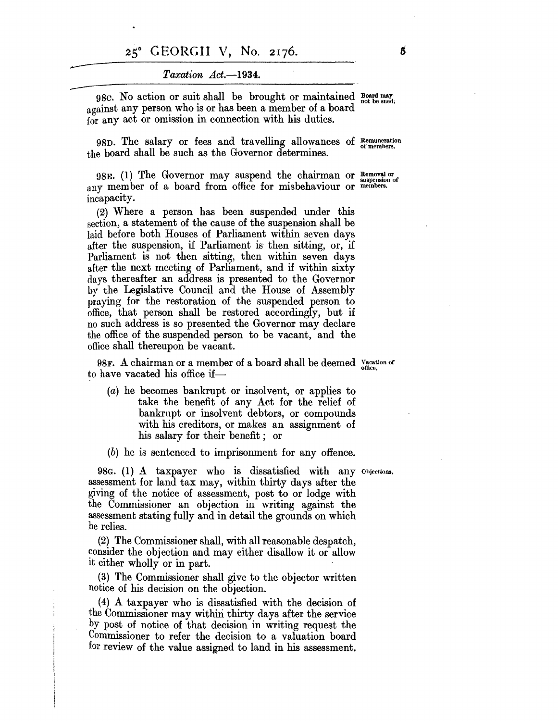### *Taxat'ion Act.-1934.*

98c. No action or suit shall be brought or maintained Board may not be sued. against any person who is or has been a member of a board for any act or omission in connection with his duties.

98D. The salary or fees and travelling allowances of Remuneration ofmemhers. the board shall be such as the Governor determines.

98E. (1) The Governor may suspend the chairman or  $\frac{Removal\; or\; 1}{superposition\; of\; }$ any member of a board from office for misbehaviour or members. incapacity.

(2) Where a person has been suspended under this section, a statement of the cause of the suspension shall be laid before both Houses of Parliament within seven days after the suspension, if Parliament is then sitting, or, if Parliament is not then sitting, then within seven days after the next meeting of Parliament, and if within sixty days thereafter an address is presented to the Governor by the Legislative Council and the House of Assembly praying for the restoration of the suspended person to office, that person shall be restored accordingly, but if no such address is so presented the Governor may declare the office of the suspended person to be vacant, and the office shall thereupon be vacant.

98F. A chairman or a member of a board shall be deemed vacation of to have vacated his office if—

- (a) he becomes bankrupt or insolvent, or applies to take the benefit of any Act for the relief of bankrupt or insolvent debtors, or compounds with his creditors, or makes an assignment of his salary for their benefit; or
- (b) he is sentenced to imprisonment for any offence.

98G. (1) A taxpayer who is dissatisfied with any Ohiections. assessment for land tax may, within thirty days after the giving of the notice of assessment, post to or lodge with the Commissioner an objection in writing against the assessment stating fully and in detail the grounds on which he relies.

(2) The Commissioner shall, with all reasonable despatch, consider the objection and may either disallow it or allow it either wholly or in part.

(3) The Commissioner shall give to the objector written notice of his decision on the objection.

(4) A taxpayer who is dissatisfied with the decision of the Commissioner may within thirty days after the service by post of notice of that decision in writing request the Commissioner to refer the decision to a valuation board for review of the value assigned to land in his assessment.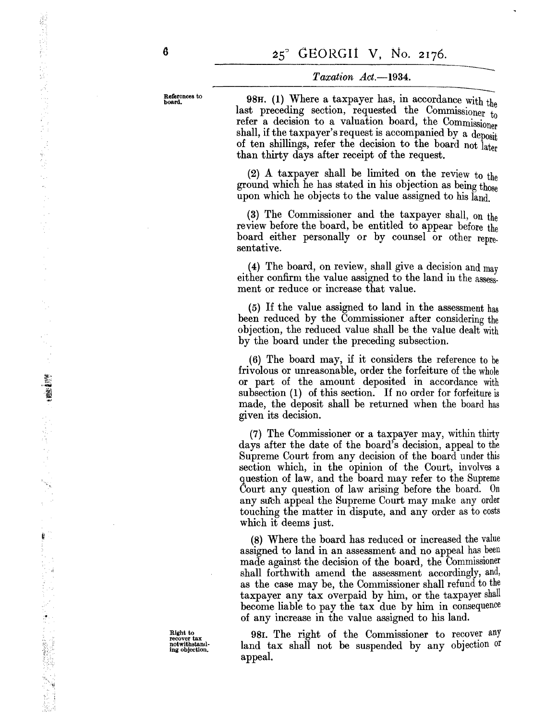References to board.

6

 $Taxation$   $Act. -1934.$ <br>98H. (1) Where a taxpayer has, in accordance with the last preceding section, requested the Commissioner to refer a decision to a valuation board, the Commissioner shall, if the taxpayer's request is accompanied by a deposit of ten shillings, refer the decision to the board not later than thirty days after receipt of the request.

(2) A taxpayer shall be limited on the review to the ground which he has stated in his objection as being those upon which he objects to the value assigned to his land.

(3) The Commissioner and the taxpayer shall, on the review before the board, be entitled to appear before the board either personally or by counsel or other representative.

(4) The board, on review, shall give a decision and may either confirm the value assigned to the land in the assessment or reduce or increase that value.

(5) If the value assigned to land in the assessment has been reduced by the Commissioner after considering the objection, the reduced value shall be the value dealt with by the board under the preceding subsection.

(6) The board may, if it considers the reference to be frivolous or unreasonable, order the forfeiture of the whole or part of the amount deposited in accordance with subsection (I) of this section. If no order for forfeiture is made, the deposit shall be returned when the board has given its decision.

(7) The Commissioner or a taxpayer may, within thirty days after the date of the board's decision, appeal to the Supreme Court from any decision of the board under this section which, in the opinion of the Court, involves a question of law, and the board may refer to the Supreme Court any question of law arising before the board. On any such appeal the Supreme Court may make any order touching the matter in dispute, and any order as to costs which it deems just.

(8) Where the board has reduced or increased the value assigned to land in an assessment and no appeal has been made against the decision of the board, the Commissioner shall forthwith amend the assessment accordingly, and, as the case may be, the Commissioner shall refund to the taxpayer any tax overpaid by him, or the taxpayer shall become liable to pay the tax due by him in consequence of any increase in the value assigned to his land.

981. The right of the Commissioner to recover any land tax shall not be suspended by any objection or appeal.

Right to recover tax notwithstaml· ing objection.